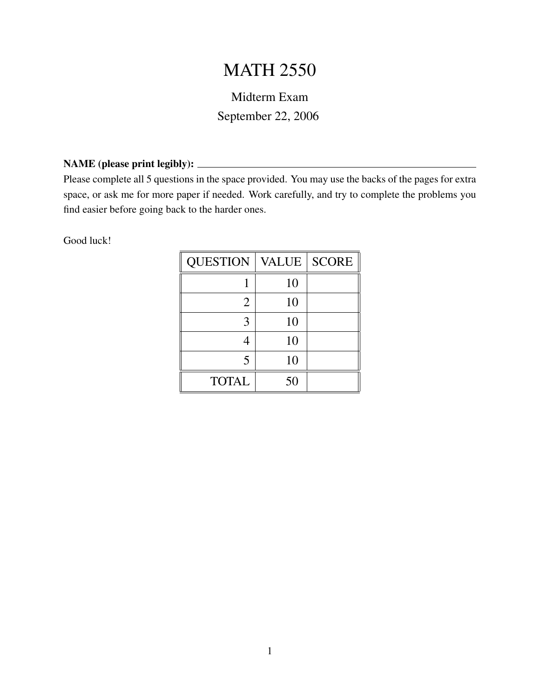## MATH 2550

## Midterm Exam September 22, 2006

## NAME (please print legibly):

Please complete all 5 questions in the space provided. You may use the backs of the pages for extra space, or ask me for more paper if needed. Work carefully, and try to complete the problems you find easier before going back to the harder ones.

Good luck!

| <b>QUESTION</b> | VALUE | <b>SCORE</b> |
|-----------------|-------|--------------|
|                 | 10    |              |
| 2               | 10    |              |
| 3               | 10    |              |
|                 | 10    |              |
| 5               | 10    |              |
| <b>TOTAL</b>    | 50    |              |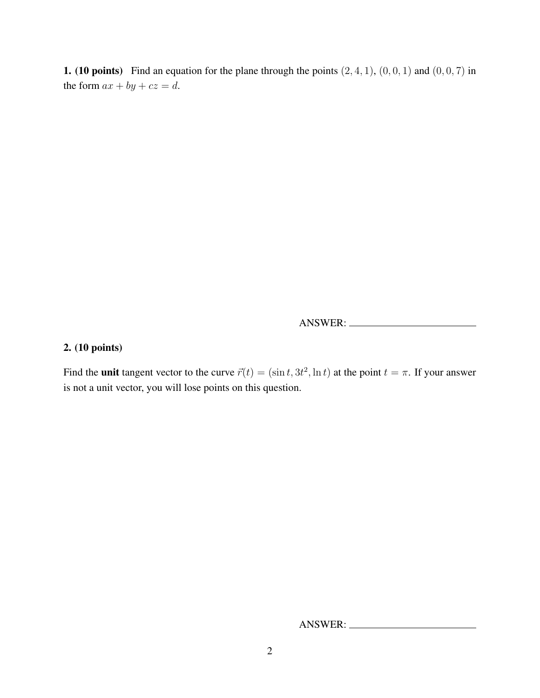**1.** (10 points) Find an equation for the plane through the points  $(2, 4, 1)$ ,  $(0, 0, 1)$  and  $(0, 0, 7)$  in the form  $ax + by + cz = d$ .

ANSWER:

## 2. (10 points)

Find the **unit** tangent vector to the curve  $\vec{r}(t) = (\sin t, 3t^2, \ln t)$  at the point  $t = \pi$ . If your answer is not a unit vector, you will lose points on this question.

ANSWER: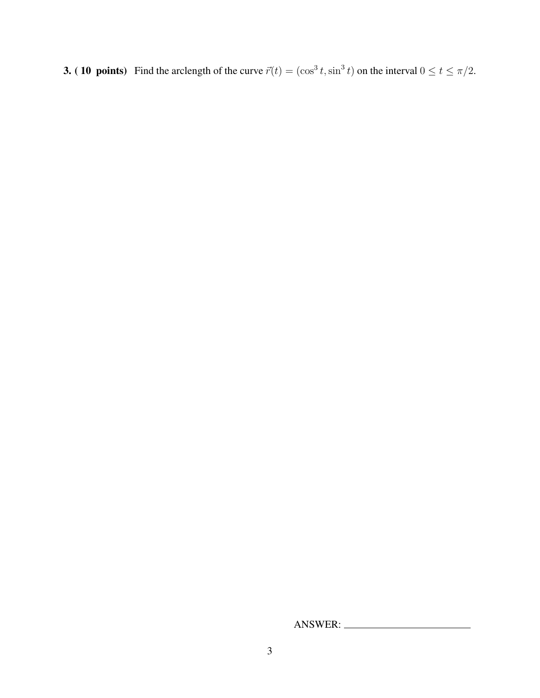**3. (10 points)** Find the arclength of the curve  $\vec{r}(t) = (\cos^3 t, \sin^3 t)$  on the interval  $0 \le t \le \pi/2$ .

ANSWER: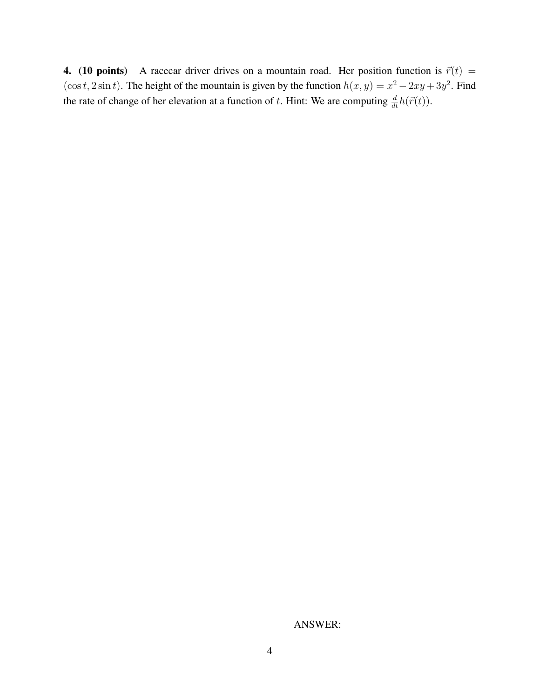4. (10 points) A racecar driver drives on a mountain road. Her position function is  $\vec{r}(t)$  =  $(\cos t, 2 \sin t)$ . The height of the mountain is given by the function  $h(x, y) = x^2 - 2xy + 3y^2$ . Find the rate of change of her elevation at a function of t. Hint: We are computing  $\frac{d}{dt}h(\vec{r}(t))$ .

ANSWER: